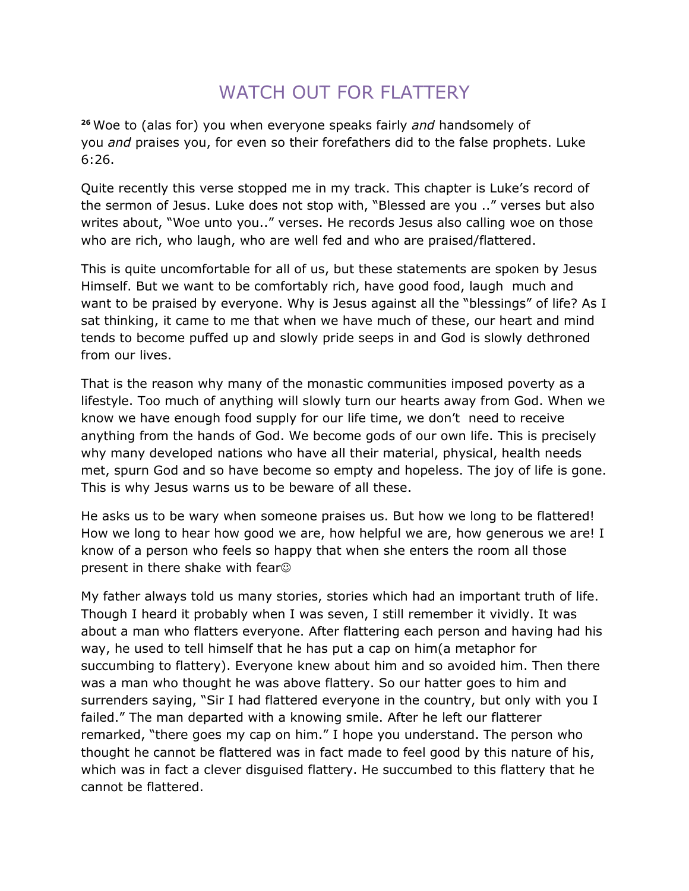## WATCH OUT FOR FLATTERY

**<sup>26</sup>** Woe to (alas for) you when everyone speaks fairly *and* handsomely of you *and* praises you, for even so their forefathers did to the false prophets. Luke 6:26.

Quite recently this verse stopped me in my track. This chapter is Luke's record of the sermon of Jesus. Luke does not stop with, "Blessed are you .." verses but also writes about, "Woe unto you.." verses. He records Jesus also calling woe on those who are rich, who laugh, who are well fed and who are praised/flattered.

This is quite uncomfortable for all of us, but these statements are spoken by Jesus Himself. But we want to be comfortably rich, have good food, laugh much and want to be praised by everyone. Why is Jesus against all the "blessings" of life? As I sat thinking, it came to me that when we have much of these, our heart and mind tends to become puffed up and slowly pride seeps in and God is slowly dethroned from our lives.

That is the reason why many of the monastic communities imposed poverty as a lifestyle. Too much of anything will slowly turn our hearts away from God. When we know we have enough food supply for our life time, we don't need to receive anything from the hands of God. We become gods of our own life. This is precisely why many developed nations who have all their material, physical, health needs met, spurn God and so have become so empty and hopeless. The joy of life is gone. This is why Jesus warns us to be beware of all these.

He asks us to be wary when someone praises us. But how we long to be flattered! How we long to hear how good we are, how helpful we are, how generous we are! I know of a person who feels so happy that when she enters the room all those present in there shake with fear

My father always told us many stories, stories which had an important truth of life. Though I heard it probably when I was seven, I still remember it vividly. It was about a man who flatters everyone. After flattering each person and having had his way, he used to tell himself that he has put a cap on him(a metaphor for succumbing to flattery). Everyone knew about him and so avoided him. Then there was a man who thought he was above flattery. So our hatter goes to him and surrenders saying, "Sir I had flattered everyone in the country, but only with you I failed." The man departed with a knowing smile. After he left our flatterer remarked, "there goes my cap on him." I hope you understand. The person who thought he cannot be flattered was in fact made to feel good by this nature of his, which was in fact a clever disguised flattery. He succumbed to this flattery that he cannot be flattered.